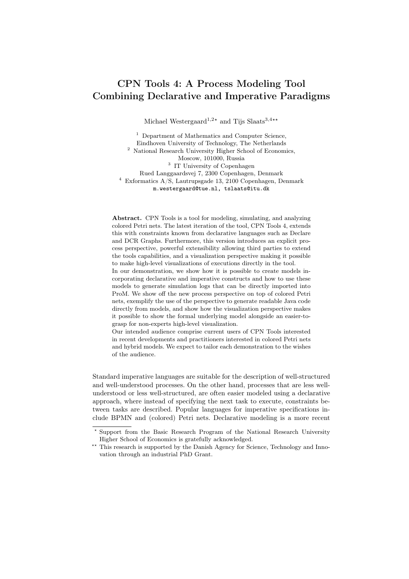## CPN Tools 4: A Process Modeling Tool Combining Declarative and Imperative Paradigms

Michael Westergaard<sup>1,2\*</sup> and Tijs Slaats<sup>3,4\*\*</sup>

<sup>1</sup> Department of Mathematics and Computer Science, Eindhoven University of Technology, The Netherlands <sup>2</sup> National Research University Higher School of Economics, Moscow, 101000, Russia <sup>3</sup> IT University of Copenhagen Rued Langgaardsvej 7, 2300 Copenhagen, Denmark <sup>4</sup> Exformatics A/S, Lautrupsgade 13, 2100 Copenhagen, Denmark m.westergaard@tue.nl, tslaats@itu.dk

Abstract. CPN Tools is a tool for modeling, simulating, and analyzing colored Petri nets. The latest iteration of the tool, CPN Tools 4, extends this with constraints known from declarative languages such as Declare and DCR Graphs. Furthermore, this version introduces an explicit process perspective, powerful extensibility allowing third parties to extend the tools capabilities, and a visualization perspective making it possible to make high-level visualizations of executions directly in the tool.

In our demonstration, we show how it is possible to create models incorporating declarative and imperative constructs and how to use these models to generate simulation logs that can be directly imported into ProM. We show off the new process perspective on top of colored Petri nets, exemplify the use of the perspective to generate readable Java code directly from models, and show how the visualization perspective makes it possible to show the formal underlying model alongside an easier-tograsp for non-experts high-level visualization.

Our intended audience comprise current users of CPN Tools interested in recent developments and practitioners interested in colored Petri nets and hybrid models. We expect to tailor each demonstration to the wishes of the audience.

Standard imperative languages are suitable for the description of well-structured and well-understood processes. On the other hand, processes that are less wellunderstood or less well-structured, are often easier modeled using a declarative approach, where instead of specifying the next task to execute, constraints between tasks are described. Popular languages for imperative specifications include BPMN and (colored) Petri nets. Declarative modeling is a more recent

<sup>?</sup> Support from the Basic Research Program of the National Research University Higher School of Economics is gratefully acknowledged.

<sup>\*\*</sup> This research is supported by the Danish Agency for Science, Technology and Innovation through an industrial PhD Grant.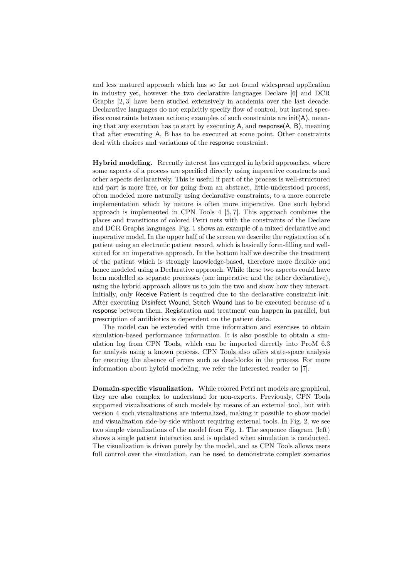and less matured approach which has so far not found widespread application in industry yet, however the two declarative languages Declare [6] and DCR Graphs [2, 3] have been studied extensively in academia over the last decade. Declarative languages do not explicitly specify flow of control, but instead specifies constraints between actions; examples of such constraints are  $\text{init}(A)$ , meaning that any execution has to start by executing A, and response(A, B), meaning that after executing A, B has to be executed at some point. Other constraints deal with choices and variations of the response constraint.

Hybrid modeling. Recently interest has emerged in hybrid approaches, where some aspects of a process are specified directly using imperative constructs and other aspects declaratively. This is useful if part of the process is well-structured and part is more free, or for going from an abstract, little-understood process, often modeled more naturally using declarative constraints, to a more concrete implementation which by nature is often more imperative. One such hybrid approach is implemented in CPN Tools 4 [5, 7]. This approach combines the places and transitions of colored Petri nets with the constraints of the Declare and DCR Graphs languages. Fig. 1 shows an example of a mixed declarative and imperative model. In the upper half of the screen we describe the registration of a patient using an electronic patient record, which is basically form-filling and wellsuited for an imperative approach. In the bottom half we describe the treatment of the patient which is strongly knowledge-based, therefore more flexible and hence modeled using a Declarative approach. While these two aspects could have been modelled as separate processes (one imperative and the other declarative), using the hybrid approach allows us to join the two and show how they interact. Initially, only Receive Patient is required due to the declarative constraint init. After executing Disinfect Wound, Stitch Wound has to be executed because of a response between them. Registration and treatment can happen in parallel, but prescription of antibiotics is dependent on the patient data.

The model can be extended with time information and exercises to obtain simulation-based performance information. It is also possible to obtain a simulation log from CPN Tools, which can be imported directly into ProM 6.3 for analysis using a known process. CPN Tools also offers state-space analysis for ensuring the absence of errors such as dead-locks in the process. For more information about hybrid modeling, we refer the interested reader to [7].

Domain-specific visualization. While colored Petri net models are graphical, they are also complex to understand for non-experts. Previously, CPN Tools supported visualizations of such models by means of an external tool, but with version 4 such visualizations are internalized, making it possible to show model and visualization side-by-side without requiring external tools. In Fig. 2, we see two simple visualizations of the model from Fig. 1. The sequence diagram (left) shows a single patient interaction and is updated when simulation is conducted. The visualization is driven purely by the model, and as CPN Tools allows users full control over the simulation, can be used to demonstrate complex scenarios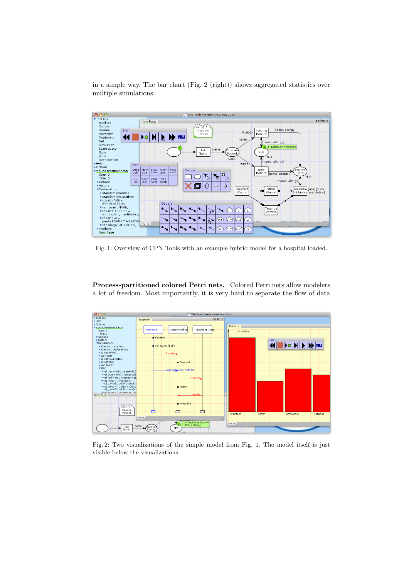in a simple way. The bar chart (Fig. 2 (right)) shows aggregated statistics over



Fig. 1: Overview of CPN Tools with an example hybrid model for a hospital loaded.

Process-partitioned colored Petri nets. Colored Petri nets allow modelers a lot of freedom. Most importantly, it is very hard to separate the flow of data



Fig. 2: Two visualizations of the simple model from Fig. 1. The model itself is just visible below the visualizations.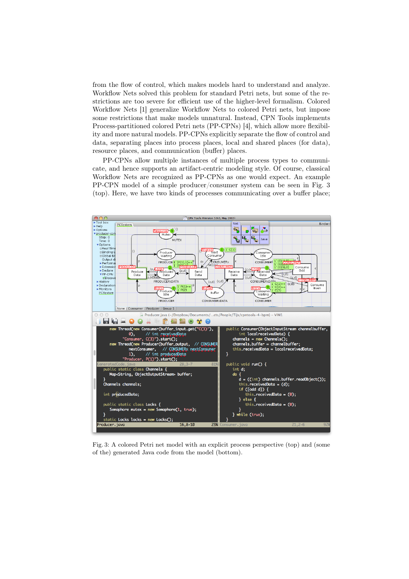from the flow of control, which makes models hard to understand and analyze. Workflow Nets solved this problem for standard Petri nets, but some of the restrictions are too severe for efficient use of the higher-level formalism. Colored Workflow Nets [1] generalize Workflow Nets to colored Petri nets, but impose some restrictions that make models unnatural. Instead, CPN Tools implements Process-partitioned colored Petri nets (PP-CPNs) [4], which allow more flexibility and more natural models. PP-CPNs explicitly separate the flow of control and data, separating places into process places, local and shared places (for data), resource places, and communication (buffer) places.

PP-CPNs allow multiple instances of multiple process types to communicate, and hence supports an artifact-centric modeling style. Of course, classical Workflow Nets are recognized as PP-CPNs as one would expect. An example PP-CPN model of a simple producer/consumer system can be seen in Fig. 3 (top). Here, we have two kinds of processes communicating over a buffer place;



Fig. 3: A colored Petri net model with an explicit process perspective (top) and (some of the) generated Java code from the model (bottom).